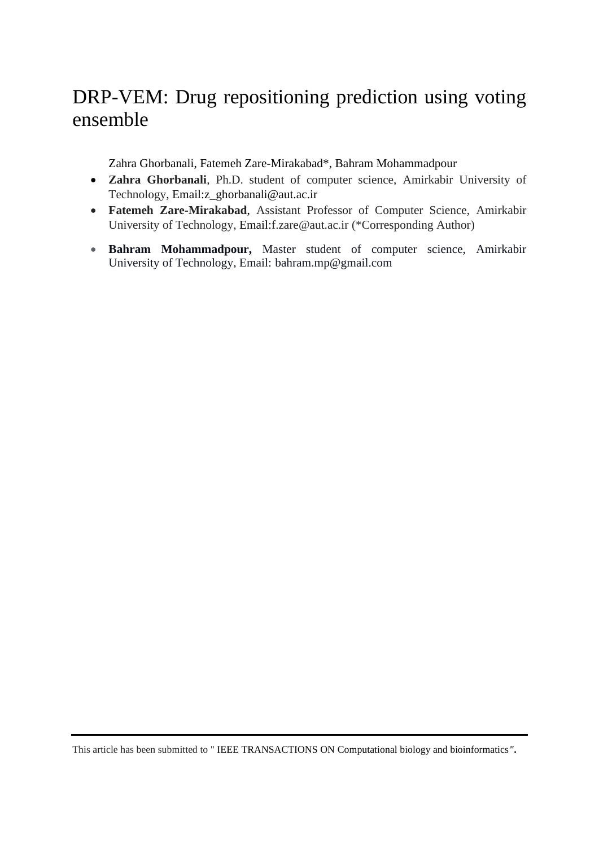# DRP-VEM: Drug repositioning prediction using voting ensemble

Zahra Ghorbanali, Fatemeh Zare-Mirakabad\*, Bahram Mohammadpour

- **Zahra Ghorbanali**, Ph.D. student of computer science, Amirkabir University of Technology, Email:z\_ghorbanali@aut.ac.ir
- **Fatemeh Zare-Mirakabad**, Assistant Professor of Computer Science, Amirkabir University of Technology, Email:f.zare@aut.ac.ir (\*Corresponding Author)
- **Bahram Mohammadpour,** Master student of computer science, Amirkabir University of Technology, Email: bahram.mp@gmail.com

This article has been submitted to " IEEE TRANSACTIONS ON Computational biology and bioinformatics*".*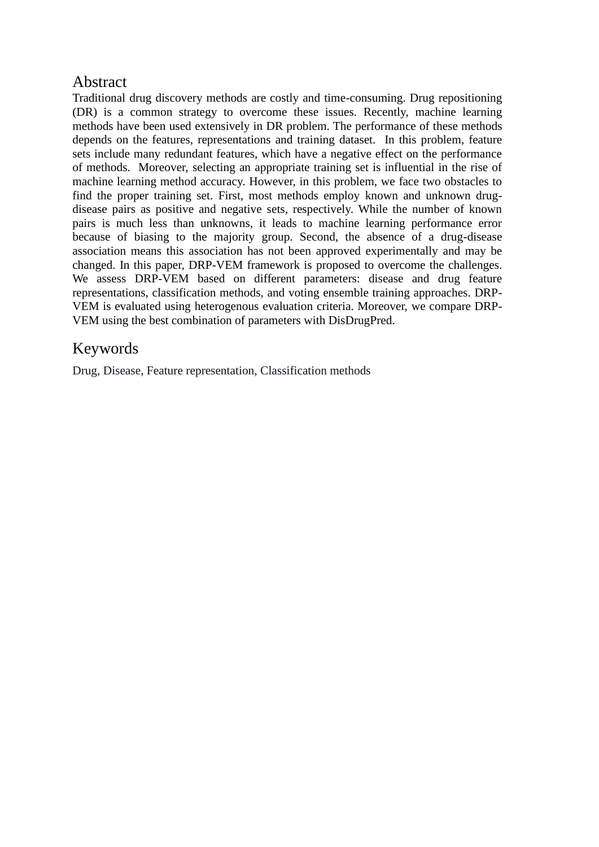### Abstract

Traditional drug discovery methods are costly and time-consuming. Drug repositioning (DR) is a common strategy to overcome these issues. Recently, machine learning methods have been used extensively in DR problem. The performance of these methods depends on the features, representations and training dataset. In this problem, feature sets include many redundant features, which have a negative effect on the performance of methods. Moreover, selecting an appropriate training set is influential in the rise of machine learning method accuracy. However, in this problem, we face two obstacles to find the proper training set. First, most methods employ known and unknown drugdisease pairs as positive and negative sets, respectively. While the number of known pairs is much less than unknowns, it leads to machine learning performance error because of biasing to the majority group. Second, the absence of a drug-disease association means this association has not been approved experimentally and may be changed. In this paper, DRP-VEM framework is proposed to overcome the challenges. We assess DRP-VEM based on different parameters: disease and drug feature representations, classification methods, and voting ensemble training approaches. DRP-VEM is evaluated using heterogenous evaluation criteria. Moreover, we compare DRP-VEM using the best combination of parameters with DisDrugPred.

### Keywords

Drug, Disease, Feature representation, Classification methods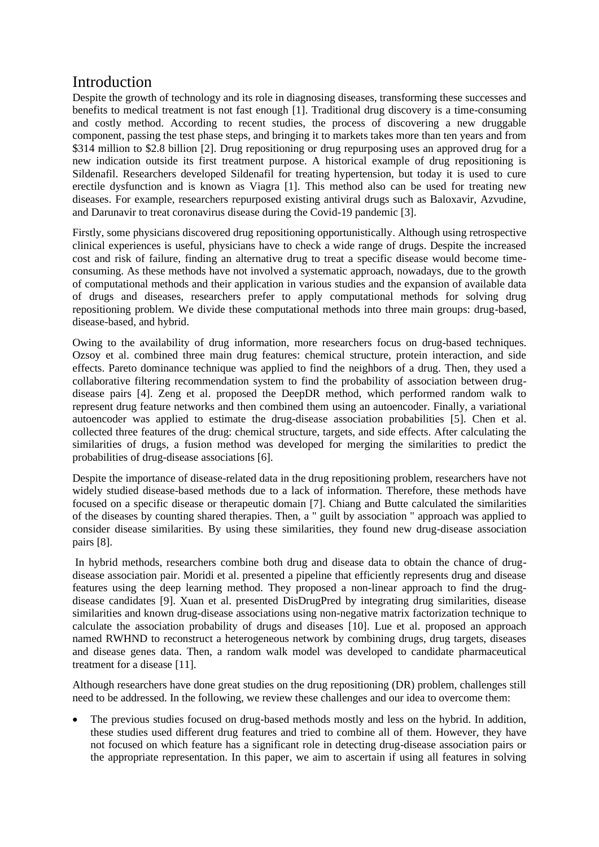### Introduction

Despite the growth of technology and its role in diagnosing diseases, transforming these successes and benefits to medical treatment is not fast enough [1]. Traditional drug discovery is a time-consuming and costly method. According to recent studies, the process of discovering a new druggable component, passing the test phase steps, and bringing it to markets takes more than ten years and from \$314 million to \$2.8 billion [2]. Drug repositioning or drug repurposing uses an approved drug for a new indication outside its first treatment purpose. A historical example of drug repositioning is Sildenafil. Researchers developed Sildenafil for treating hypertension, but today it is used to cure erectile dysfunction and is known as Viagra [1]. This method also can be used for treating new diseases. For example, researchers repurposed existing antiviral drugs such as Baloxavir, Azvudine, and Darunavir to treat coronavirus disease during the Covid-19 pandemic [3].

Firstly, some physicians discovered drug repositioning opportunistically. Although using retrospective clinical experiences is useful, physicians have to check a wide range of drugs. Despite the increased cost and risk of failure, finding an alternative drug to treat a specific disease would become timeconsuming. As these methods have not involved a systematic approach, nowadays, due to the growth of computational methods and their application in various studies and the expansion of available data of drugs and diseases, researchers prefer to apply computational methods for solving drug repositioning problem. We divide these computational methods into three main groups: drug-based, disease-based, and hybrid.

Owing to the availability of drug information, more researchers focus on drug-based techniques. Ozsoy et al. combined three main drug features: chemical structure, protein interaction, and side effects. Pareto dominance technique was applied to find the neighbors of a drug. Then, they used a collaborative filtering recommendation system to find the probability of association between drugdisease pairs [4]. Zeng et al. proposed the DeepDR method, which performed random walk to represent drug feature networks and then combined them using an autoencoder. Finally, a variational autoencoder was applied to estimate the drug-disease association probabilities [5]. Chen et al. collected three features of the drug: chemical structure, targets, and side effects. After calculating the similarities of drugs, a fusion method was developed for merging the similarities to predict the probabilities of drug-disease associations [6].

Despite the importance of disease-related data in the drug repositioning problem, researchers have not widely studied disease-based methods due to a lack of information. Therefore, these methods have focused on a specific disease or therapeutic domain [7]. Chiang and Butte calculated the similarities of the diseases by counting shared therapies. Then, a " guilt by association " approach was applied to consider disease similarities. By using these similarities, they found new drug-disease association pairs [8].

In hybrid methods, researchers combine both drug and disease data to obtain the chance of drugdisease association pair. Moridi et al. presented a pipeline that efficiently represents drug and disease features using the deep learning method. They proposed a non-linear approach to find the drugdisease candidates [9]. Xuan et al. presented DisDrugPred by integrating drug similarities, disease similarities and known drug-disease associations using non-negative matrix factorization technique to calculate the association probability of drugs and diseases [10]. Lue et al. proposed an approach named RWHND to reconstruct a heterogeneous network by combining drugs, drug targets, diseases and disease genes data. Then, a random walk model was developed to candidate pharmaceutical treatment for a disease [11].

Although researchers have done great studies on the drug repositioning (DR) problem, challenges still need to be addressed. In the following, we review these challenges and our idea to overcome them:

• The previous studies focused on drug-based methods mostly and less on the hybrid. In addition, these studies used different drug features and tried to combine all of them. However, they have not focused on which feature has a significant role in detecting drug-disease association pairs or the appropriate representation. In this paper, we aim to ascertain if using all features in solving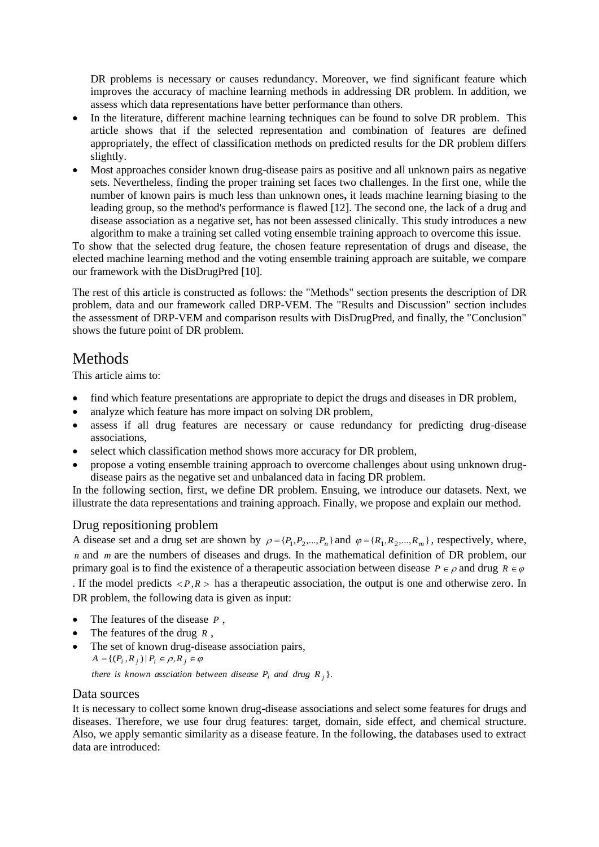DR problems is necessary or causes redundancy. Moreover, we find significant feature which improves the accuracy of machine learning methods in addressing DR problem. In addition, we assess which data representations have better performance than others.

- In the literature, different machine learning techniques can be found to solve DR problem. This article shows that if the selected representation and combination of features are defined appropriately, the effect of classification methods on predicted results for the DR problem differs slightly.
- Most approaches consider known drug-disease pairs as positive and all unknown pairs as negative sets. Nevertheless, finding the proper training set faces two challenges. In the first one, while the number of known pairs is much less than unknown ones**,** it leads machine learning biasing to the leading group, so the method's performance is flawed [12]. The second one, the lack of a drug and disease association as a negative set, has not been assessed clinically. This study introduces a new algorithm to make a training set called voting ensemble training approach to overcome this issue.

To show that the selected drug feature, the chosen feature representation of drugs and disease, the elected machine learning method and the voting ensemble training approach are suitable, we compare our framework with the DisDrugPred [10].

The rest of this article is constructed as follows: the "Methods" section presents the description of DR problem, data and our framework called DRP-VEM. The "Results and Discussion" section includes the assessment of DRP-VEM and comparison results with DisDrugPred, and finally, the "Conclusion" shows the future point of DR problem.

### **Methods**

This article aims to:

- find which feature presentations are appropriate to depict the drugs and diseases in DR problem,
- analyze which feature has more impact on solving DR problem,
- assess if all drug features are necessary or cause redundancy for predicting drug-disease associations,
- select which classification method shows more accuracy for DR problem,
- propose a voting ensemble training approach to overcome challenges about using unknown drugdisease pairs as the negative set and unbalanced data in facing DR problem.

In the following section, first, we define DR problem. Ensuing, we introduce our datasets. Next, we illustrate the data representations and training approach. Finally, we propose and explain our method.

### Drug repositioning problem

A disease set and a drug set are shown by  $\rho = \{P_1, P_2, ..., P_n\}$  and  $\varphi = \{R_1, R_2, ..., R_m\}$ , respectively, where, *n* and *m* are the numbers of diseases and drugs. In the mathematical definition of DR problem, our primary goal is to find the existence of a therapeutic association between disease  $P \in \rho$  and drug  $R \in \varphi$ . If the model predicts  $\langle P, R \rangle$  has a therapeutic association, the output is one and otherwise zero. In DR problem, the following data is given as input:

- The features of the disease *<sup>P</sup>* ,
- The features of the drug *<sup>R</sup>* ,
- The set of known drug-disease association pairs,  $A = \{ (P_i, R_j) | P_i \in \rho, R_j \in \varphi \}$

*there is known assciation between disease*  $P_i$  *and drug*  $R_j$  *}.* 

### Data sources

It is necessary to collect some known drug-disease associations and select some features for drugs and diseases. Therefore, we use four drug features: target, domain, side effect, and chemical structure. Also, we apply semantic similarity as a disease feature. In the following, the databases used to extract data are introduced: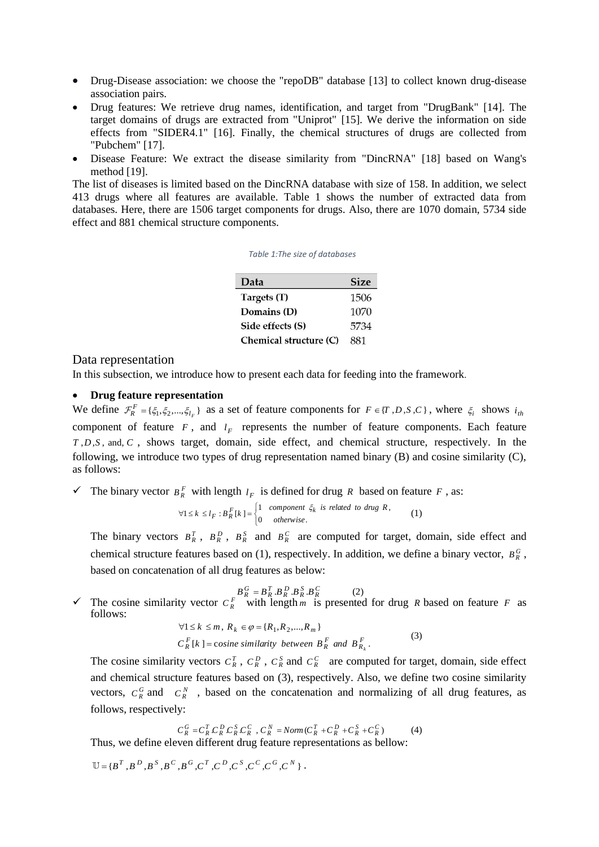- Drug-Disease association: we choose the "repoDB" database [13] to collect known drug-disease association pairs.
- Drug features: We retrieve drug names, identification, and target from "DrugBank" [14]. The target domains of drugs are extracted from "Uniprot" [15]. We derive the information on side effects from "SIDER4.1" [16]. Finally, the chemical structures of drugs are collected from "Pubchem" [17].
- Disease Feature: We extract the disease similarity from "DincRNA" [18] based on Wang's method [19].

The list of diseases is limited based on the DincRNA database with size of 158. In addition, we select 413 drugs where all features are available. Table 1 shows the number of extracted data from databases. Here, there are 1506 target components for drugs. Also, there are 1070 domain, 5734 side effect and 881 chemical structure components.

| Data                   | <b>Size</b> |
|------------------------|-------------|
| Targets (T)            | 1506        |
| Domains (D)            | 1070        |
| Side effects (S)       | 5734        |
| Chemical structure (C) | 881         |

#### *Table 1:The size of databases*

#### Data representation

In this subsection, we introduce how to present each data for feeding into the framework.

#### • **Drug feature representation**

We define  $\mathcal{F}_R^F = \{\xi_1, \xi_2, ..., \xi_{l_F}\}\$  $F_R^F = \{\xi_1, \xi_2, ..., \xi_{l_F}\}\$ as a set of feature components for  $F \in \{T, D, S, C\}$ , where  $\xi_i$  shows  $i_{th}$ component of feature  $F$ , and  $l_F$  represents the number of feature components. Each feature *T*, *D*, *S*, and, *C*, shows target, domain, side effect, and chemical structure, respectively. In the following, we introduce two types of drug representation named binary (B) and cosine similarity (C), as follows:

 $\checkmark$  The binary vector  $B_R^F$  with length  $I_F$  is defined for drug R based on feature F, as:

$$
\forall 1 \le k \le l_F : B^F_R[k] = \begin{cases} 1 & component \xi_k \text{ is related to drug } R, \\ 0 & otherwise. \end{cases} \tag{1}
$$

The binary vectors  $B_R^T$ ,  $B_R^D$ ,  $B_R^S$  and  $B_R^C$  are computed for target, domain, side effect and chemical structure features based on (1), respectively. In addition, we define a binary vector,  $B_R^G$ , based on concatenation of all drug features as below:

$$
B_R^G = B_R^T . B_R^D . B_R^S . B_R^C \tag{2}
$$

 $\checkmark$  The cosine similarity vector  $C_R^F$  with length *m* is presented for drug *R* based on feature *F* as follows:

$$
\forall 1 \le k \le m, R_k \in \varphi = \{R_1, R_2, ..., R_m\}
$$
  

$$
C_R^F[k] = \text{cosine similarity between } B_R^F \text{ and } B_{R_k}^F. \tag{3}
$$

The cosine similarity vectors  $C_R^T$ ,  $C_R^D$ ,  $C_R^S$  and  $C_R^C$  are computed for target, domain, side effect and chemical structure features based on (3), respectively. Also, we define two cosine similarity vectors,  $C_R^G$  and  $C_R^N$ , based on the concatenation and normalizing of all drug features, as follows, respectively:

 $C_R^G = C_R^T C_R^D C_R^S C_R^C$ ,  $C_R^N = Norm(C_R^T + C_R^D + C_R^S + C_R^C)$ (4) Thus, we define eleven different drug feature representations as bellow:

 $=$  {B<sup>T</sup>, B<sup>D</sup>, B<sup>S</sup>, B<sup>C</sup>, B<sup>G</sup>, C<sup>T</sup>, C<sup>D</sup>, C<sup>S</sup>, C<sup>C</sup>, C<sup>G</sup>, C<sup>N</sup>}.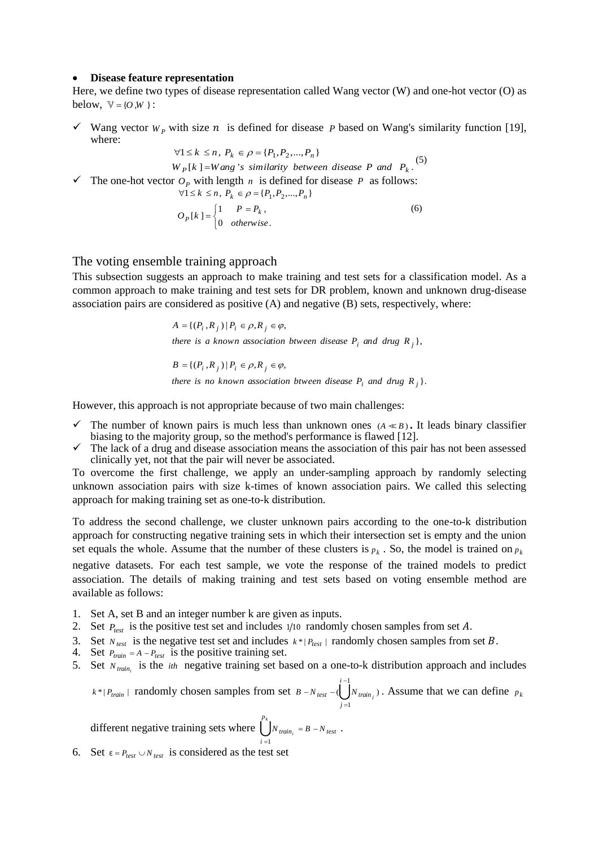#### • **Disease feature representation**

Here, we define two types of disease representation called Wang vector (W) and one-hot vector (O) as below,  $V = \{O,W\}$ :

 $\checkmark$  Wang vector  $W_p$  with size  $n$  is defined for disease P based on Wang's similarity function [19], where:

 $\forall 1 \leq k \leq n, P_k \in \rho = \{P_1, P_2, ..., P_n\}$  $W_P[k] = W \text{ang } s \text{ similarity between disease } P \text{ and } P_k.$ <sup>(5)</sup>  $\checkmark$  The one-hot vector  $O_p$  with length *n* is defined for disease *P* as follows:  $\forall 1 \leq k \leq n, P_k \in \rho = \{P_1, P_2, ..., P_n\}$ 

$$
O_P[k] = \begin{cases} 1 & P = P_k, \\ 0 & otherwise. \end{cases}
$$
 (6)

#### The voting ensemble training approach

This subsection suggests an approach to make training and test sets for a classification model. As a common approach to make training and test sets for DR problem, known and unknown drug-disease association pairs are considered as positive  $(A)$  and negative  $(B)$  sets, respectively, where:

> ${A} = \{ (P_i, R_j) | P_i \in \rho, R_j \in \varphi,$ there is a known association btween disease  $P_i$  and drug  $R_j$ ,

> ${B} = \{ (P_i, R_j) | P_i \in \rho, R_j \in \varphi,$ there is no known association btween disease  $P_i$  and drug  $R_{\,j}\,\}.$

However, this approach is not appropriate because of two main challenges:

- $\checkmark$  The number of known pairs is much less than unknown ones  $(A \ll B)$ . It leads binary classifier biasing to the majority group, so the method's performance is flawed [12].
- $\checkmark$  The lack of a drug and disease association means the association of this pair has not been assessed clinically yet, not that the pair will never be associated.

To overcome the first challenge, we apply an under-sampling approach by randomly selecting unknown association pairs with size k-times of known association pairs. We called this selecting approach for making training set as one-to-k distribution.

To address the second challenge, we cluster unknown pairs according to the one-to-k distribution approach for constructing negative training sets in which their intersection set is empty and the union set equals the whole. Assume that the number of these clusters is  $p_k$ . So, the model is trained on  $p_k$ 

negative datasets. For each test sample, we vote the response of the trained models to predict association. The details of making training and test sets based on voting ensemble method are available as follows:

- 1. Set A, set B and an integer number k are given as inputs.
- 2. Set  $P_{test}$  is the positive test set and includes  $1/10$  randomly chosen samples from set A.
- 3. Set  $N_{test}$  is the negative test set and includes  $k^* | P_{test} |$  randomly chosen samples from set B.
- 4. Set  $P_{train} = A P_{test}$  is the positive training set.
- 5. Set  $N_{train_i}$  is the *ith* negative training set based on a one-to-k distribution approach and includes

 $k^* | P_{train} |$  randomly chosen samples from set  $B - N_{test} - (\begin{bmatrix} i-1 \\ 1 \end{bmatrix})$ 1  $\bigcup_{N}$  train<sub>j</sub>) *i test train j*  $B - N_{\text{test}} - (1)$  IN −  $-N_{test}$  –( $N_{train}$ ). Assume that we can define  $p_k$ 

different negative training sets where  $\int_{0}^{p_{k}}$ 1 *p*  $N_{train} = B - N_{test}$ . *i*

6. Set  $\varepsilon = P_{test} \cup N_{test}$  is considered as the test set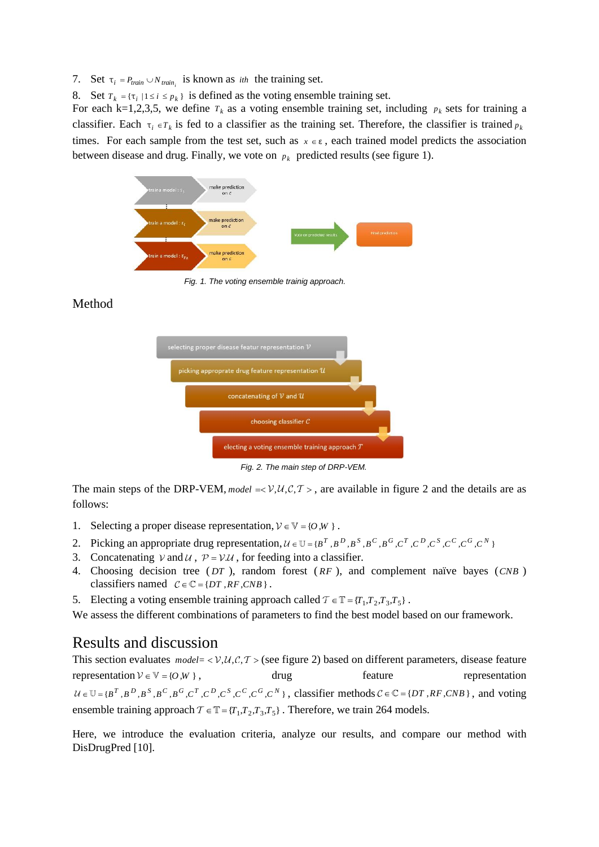7. Set  $\tau_i = P_{train} \cup N_{train_i}$  is known as *ith* the training set.

8. Set  $T_k = \{ \tau_i \mid 1 \le i \le p_k \}$  is defined as the voting ensemble training set.

For each k=1,2,3,5, we define  $T_k$  as a voting ensemble training set, including  $p_k$  sets for training a classifier. Each  $\tau_i \in T_k$  is fed to a classifier as the training set. Therefore, the classifier is trained  $p_k$ times. For each sample from the test set, such as  $x \in \varepsilon$ , each trained model predicts the association between disease and drug. Finally, we vote on  $p_k$  predicted results (see figure 1).



*Fig. 1. The voting ensemble trainig approach.*

### Method



*Fig. 2. The main step of DRP-VEM.*

The main steps of the DRP-VEM, model  $=\langle V, U, C, T \rangle$ , are available in figure 2 and the details are as follows:

- 1. Selecting a proper disease representation,  $V \in V = \{O, W\}$ .
- 2. Picking an appropriate drug representation,  $U \in U = {B^T, B^D, B^S, B^C, B^G, C^T, C^D, C^S, C^G, C^N}$
- 3. Concatenating  $V$  and  $U$ ,  $P = V \mathcal{U}$ , for feeding into a classifier.
- 4. Choosing decision tree ( *DT* ), random forest ( *RF* ), and complement naïve bayes ( *CNB* ) classifiers named  $C \in \mathbb{C} = \{DT, RF, CNB\}$ .
- 5. Electing a voting ensemble training approach called  $T \in \mathbb{T} = \{T_1, T_2, T_3, T_5\}$ .

We assess the different combinations of parameters to find the best model based on our framework.

### Results and discussion

This section evaluates  $model = \langle V, U, C, T \rangle$  (see figure 2) based on different parameters, disease feature representation  $V \in V = \{O, W\}$ drug feature representation  $\in$   $\mathbb{U}$  = { $B^T$ , $B^D$ , $B^S$ , $B^C$ , $B^G$ , $C^T$ , $C^D$ , $C^S$ , $C^C$ , $C^G$ , $C^N$ }, classifier methods  $C \in \mathbb{C}$  = { $DT$ , $RF$ , $CNB$ }, and voting ensemble training approach  $T \in \mathbb{T} = \{T_1, T_2, T_3, T_5\}$ . Therefore, we train 264 models.

Here, we introduce the evaluation criteria, analyze our results, and compare our method with DisDrugPred [10].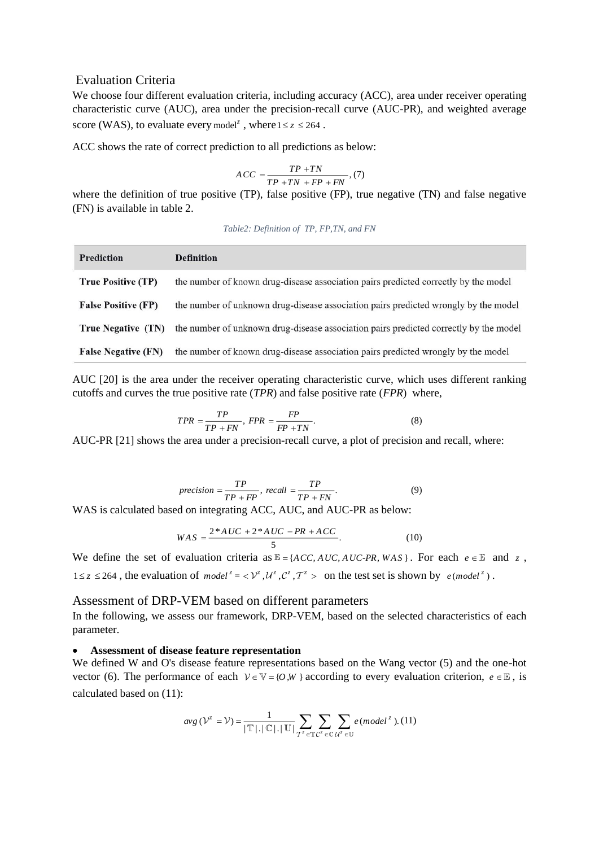### Evaluation Criteria

We choose four different evaluation criteria, including accuracy (ACC), area under receiver operating characteristic curve (AUC), area under the precision-recall curve (AUC-PR), and weighted average score (WAS), to evaluate every model<sup>z</sup>, where  $1 \le z \le 264$ .

ACC shows the rate of correct prediction to all predictions as below:

$$
ACC = \frac{TP + TN}{TP + TN + FP + FN}, (7)
$$

where the definition of true positive (TP), false positive (FP), true negative (TN) and false negative (FN) is available in table 2.

#### *Table2: Definition of TP, FP,TN, and FN*

| <b>Prediction</b>          | <b>Definition</b>                                                                     |
|----------------------------|---------------------------------------------------------------------------------------|
| <b>True Positive (TP)</b>  | the number of known drug-disease association pairs predicted correctly by the model   |
| <b>False Positive (FP)</b> | the number of unknown drug-disease association pairs predicted wrongly by the model   |
| <b>True Negative (TN)</b>  | the number of unknown drug-disease association pairs predicted correctly by the model |
| <b>False Negative (FN)</b> | the number of known drug-disease association pairs predicted wrongly by the model     |

AUC [20] is the area under the receiver operating characteristic curve, which uses different ranking cutoffs and curves the true positive rate (*TPR*) and false positive rate (*FPR*) where,

$$
TPR = \frac{TP}{TP + FN}, \ FPR = \frac{FP}{FP + TN}.\tag{8}
$$

AUC-PR [21] shows the area under a precision-recall curve, a plot of precision and recall, where:

$$
precision = \frac{TP}{TP + FP}, \text{ } recall = \frac{TP}{TP + FN}.\tag{9}
$$

WAS is calculated based on integrating ACC, AUC, and AUC-PR as below:

$$
WAS = \frac{2*AUC + 2*AUC - PR + ACC}{5}.
$$
 (10)

We define the set of evaluation criteria as  $\mathbb{E} = \{ACC, AUC, AUC-PR, WAS\}$ . For each  $e \in \mathbb{E}$  and  $z$ ,  $1 \le z \le 264$ , the evaluation of  $model^z = \langle V^z, U^z, C^z, T^z \rangle$  on the test set is shown by  $e(model^z)$ .

#### Assessment of DRP-VEM based on different parameters

In the following, we assess our framework, DRP-VEM, based on the selected characteristics of each parameter.

#### • **Assessment of disease feature representation**

We defined W and O's disease feature representations based on the Wang vector (5) and the one-hot vector (6). The performance of each  $V \in V = \{O, W\}$  according to every evaluation criterion,  $e \in E$ , is calculated based on (11):

$$
avg\left(\mathcal{V}^{z}=\mathcal{V}\right)=\frac{1}{|\mathbb{T}|.|^{\mathbb{C}}|.|^{\mathbb{U}}|}\sum_{\mathcal{T}^{z}\in\mathbb{T}}\sum_{\mathcal{C}^{z}\in\mathbb{C}}\sum_{\mathcal{U}^{z}\in\mathbb{U}}e(model^{z}).(11)
$$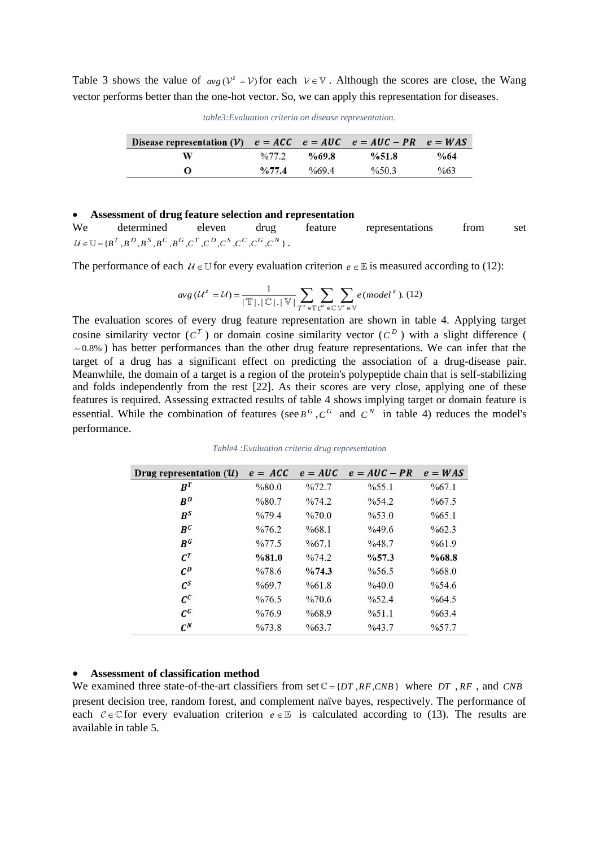Table 3 shows the value of  $\omega g$  ( $V^z = V$ ) for each  $V \in V$ . Although the scores are close, the Wang vector performs better than the one-hot vector. So, we can apply this representation for diseases.

| Disease representation (V) $e = ACC$ $e = AUC$ $e = AUC - PR$ $e = WAS$ |                   |                   |          |                 |
|-------------------------------------------------------------------------|-------------------|-------------------|----------|-----------------|
| w                                                                       | $\frac{0}{0}77.2$ | $\%69.8$          | %51.8    | $\%64$          |
| $\Omega$                                                                | $\frac{0}{0}77.4$ | $\frac{669.4}{6}$ | $\%50.3$ | $\frac{663}{6}$ |

#### • **Assessment of drug feature selection and representation**

We determined eleven drug feature representations from set  $\in$  U = { $B^T$  , $B^D$  , $B^S$  , $B^C$  , $B^G$  , $C^T$  , $C^D$  , $C^S$  , $C^C$  , $C^G$  , $C^N$  }.

The performance of each  $U \in \mathbb{U}$  for every evaluation criterion  $e \in \mathbb{E}$  is measured according to (12):

$$
avg\left(\mathcal{U}^{z} = \mathcal{U}\right) = \frac{1}{|\mathbb{T}| \cdot |\mathbb{C}| \cdot |\mathbb{V}|} \sum_{T^{z} \in \mathbb{T}} \sum_{\mathcal{C}^{z} \in \mathbb{C}} \sum_{\mathcal{V}^{z} \in \mathbb{V}} e \left(mod\mathcal{U}^{z}\right). (12)
$$

The evaluation scores of every drug feature representation are shown in table 4. Applying target cosine similarity vector  $(C^T)$  or domain cosine similarity vector  $(C^D)$  with a slight difference ( 0.8% ) has better performances than the other drug feature representations. We can infer that the target of a drug has a significant effect on predicting the association of a drug-disease pair. Meanwhile, the domain of a target is a region of the protein's [polypeptide chain](https://en.wikipedia.org/wiki/Peptide) that is self-stabilizing and folds independently from the rest [22]. As their scores are very close, applying one of these features is required. Assessing extracted results of table 4 shows implying target or domain feature is essential. While the combination of features (see  $B^G$ ,  $C^G$  and  $C^N$  in table 4) reduces the model's performance.

| Drug representation $(U)$                   | $e = ACC$          |                       | $e = AUC$ $e = AUC - PR$ | $e = WAS$          |
|---------------------------------------------|--------------------|-----------------------|--------------------------|--------------------|
| $B^T$                                       | %80.0              | $\frac{9}{6}72.7$     | $\frac{9}{6}$ 55.1       | %67.1              |
| $R^D$                                       | %80.7              | $\frac{9}{6}$ 74.2    | $\frac{9}{6}$ 54.2       | $\%67.5$           |
| $B^S$                                       | $\frac{0}{079.4}$  | $\%70.0$              | $\%53.0$                 | $\frac{665.1}{2}$  |
| $R^C$                                       | $\frac{9}{676.2}$  | $\frac{668.1}{6}$     | $\%49.6$                 | $\frac{9}{662.3}$  |
| $R^G$                                       | $\frac{9}{677.5}$  | %67.1                 | %48.7                    | %61.9              |
| $\mathcal{C}^T$                             | %81.0              | $\frac{0}{0}$ 74.2    | $\%57.3$                 | %68.8              |
| $C^D$                                       | $\frac{6}{78.6}$   | $\frac{9}{6}$ 74.3    | $\frac{9}{6}$ 56.5       | $\%68.0$           |
| $\mathcal{C}^S$                             | $\%69.7$           | %61.8                 | %40.0                    | $\%54.6$           |
| $\mathcal{C}^{\mathcal{C}}$                 | $\frac{6}{76.5}$   | $\%70.6$              | $\frac{9}{6}$ 52.4       | $\%64.5$           |
| $\boldsymbol{\mathcal{C}}^{\boldsymbol{G}}$ | $\frac{6}{6}$ 76.9 | %68.9                 | $\frac{9}{6}$ 51.1       | $\%63.4$           |
| $C^N$                                       | $\frac{0}{0}$ 73.8 | $\frac{663.7}{663.7}$ | $\frac{9}{6}43.7$        | $\frac{9}{6}$ 57.7 |

*Table4 :Evaluation criteria drug representation*

#### • **Assessment of classification method**

We examined three state-of-the-art classifiers from set  $C = \{DT, RF, CNB\}$  where DT, RF, and CNB present decision tree, random forest, and complement naïve bayes, respectively. The performance of each  $C \in \mathbb{C}$  for every evaluation criterion  $e \in \mathbb{E}$  is calculated according to (13). The results are available in table 5.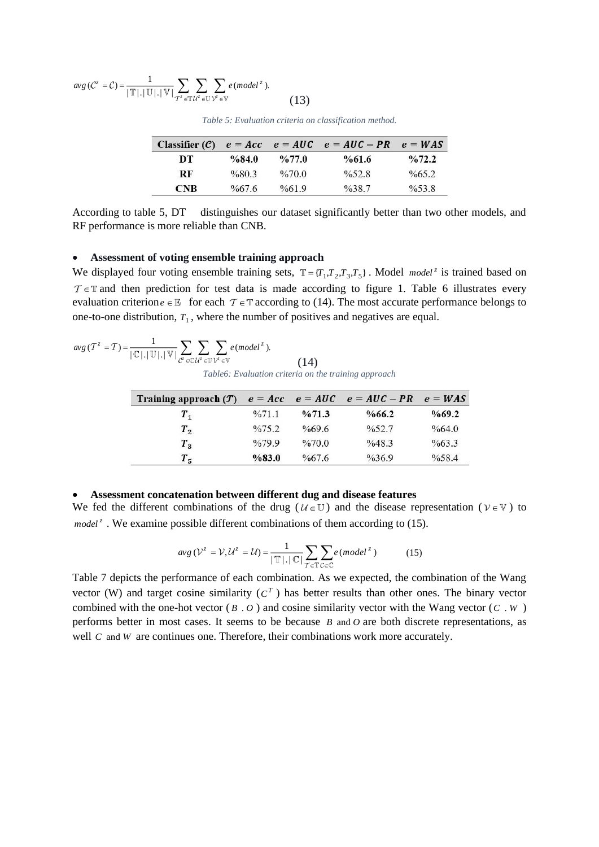$$
avg\left(\mathcal{C}^{z}=\mathcal{C}\right)=\frac{1}{|\mathbb{T}|.\,|\mathbb{U}|.\,|\mathbb{V}|}\sum_{\mathcal{T}^{z}\in\mathbb{T}}\sum_{\mathcal{U}^{z}\in\mathbb{U}}\sum_{\mathcal{V}^{z}\in\mathbb{V}}e(mod\mathcal{U}^{z}).\tag{13}
$$

|            |          |                   | Classifier $(C)$ $e = Acc$ $e = AUC$ $e = AUC - PR$ $e = WAS$ |                    |
|------------|----------|-------------------|---------------------------------------------------------------|--------------------|
| DT         | $\%84.0$ | $\frac{6}{77.0}$  | $\%61.6$                                                      | $\frac{0}{0}72.2$  |
| <b>RF</b>  | $\%80.3$ | $\%70.0$          | $\frac{0}{6}$ 52.8                                            | $\frac{665.2}{2}$  |
| <b>CNB</b> | $\%67.6$ | $\frac{0}{661.9}$ | $\frac{0}{0}38.7$                                             | $\frac{0}{6}$ 53.8 |

*Table 5: Evaluation criteria on classification method.*

According to table 5, DT distinguishes our dataset significantly better than two other models, and RF performance is more reliable than CNB.

#### • **Assessment of voting ensemble training approach**

We displayed four voting ensemble training sets,  $\mathbb{T} = \{T_1, T_2, T_3, T_5\}$ . Model *model*<sup>*z*</sup> is trained based on  $\in \mathbb{T}$  and then prediction for test data is made according to figure 1. Table 6 illustrates every evaluation criterion  $e \in \mathbb{E}$  for each  $\mathcal{T} \in \mathbb{T}$  according to (14). The most accurate performance belongs to one-to-one distribution,  $T_1$ , where the number of positives and negatives are equal.

$$
avg(T^{z} = T) = \frac{1}{|\mathbb{C}| |\mathbb{U}| |\mathbb{U}|} \sum_{\mathcal{C}^{z} \in \mathbb{C}} \sum_{\mathcal{U}^{z} \in \mathbb{U}} \sum_{\mathcal{V}^{z} \in \mathbb{V}} e (model^{z}).
$$
\n(14)

*Table6: Evaluation criteria on the training approach*

| Training approach $(\mathcal{T})$ $e = Acc$ $e = AUC$ $e = AUC - PR$ $e = WAS$ |                    |                    |                    |       |
|--------------------------------------------------------------------------------|--------------------|--------------------|--------------------|-------|
| $T_{1}$                                                                        | %71.1              | $\frac{9}{6}$ 71.3 | %66.2              | %69.2 |
| $T_{2}$                                                                        | $\frac{9}{6}$ 75.2 | $\%69.6$           | $\frac{9}{6}$ 52.7 | %64.0 |
| $T_{3}$                                                                        | $\frac{9}{6}$ 79.9 | $\%70.0$           | %48.3              | %63.3 |
| $T_{5}$                                                                        | %83.0              | $\frac{667.6}{6}$  | $\frac{9}{6}36.9$  | %58.4 |

#### • **Assessment concatenation between different dug and disease features**

We fed the different combinations of the drug ( $U \in \mathbb{U}$ ) and the disease representation ( $V \in \mathbb{V}$ ) to *model*<sup>*z*</sup>. We examine possible different combinations of them according to (15).

$$
avg\left(V^{z} = V, U^{z} = U\right) = \frac{1}{|\mathbb{T}| \cdot |\mathbb{C}|} \sum_{T \in \mathbb{T}} \sum_{\mathcal{C} \in \mathbb{C}} e \left(mod e^{i^{z}}\right) \tag{15}
$$

Table 7 depicts the performance of each combination. As we expected, the combination of the Wang vector (W) and target cosine similarity  $(C<sup>T</sup>)$  has better results than other ones. The binary vector combined with the one-hot vector ( $B \cdot O$ ) and cosine similarity vector with the Wang vector ( $C \cdot W$ ) performs better in most cases. It seems to be because  $B$  and  $O$  are both discrete representations, as well  $C$  and  $W$  are continues one. Therefore, their combinations work more accurately.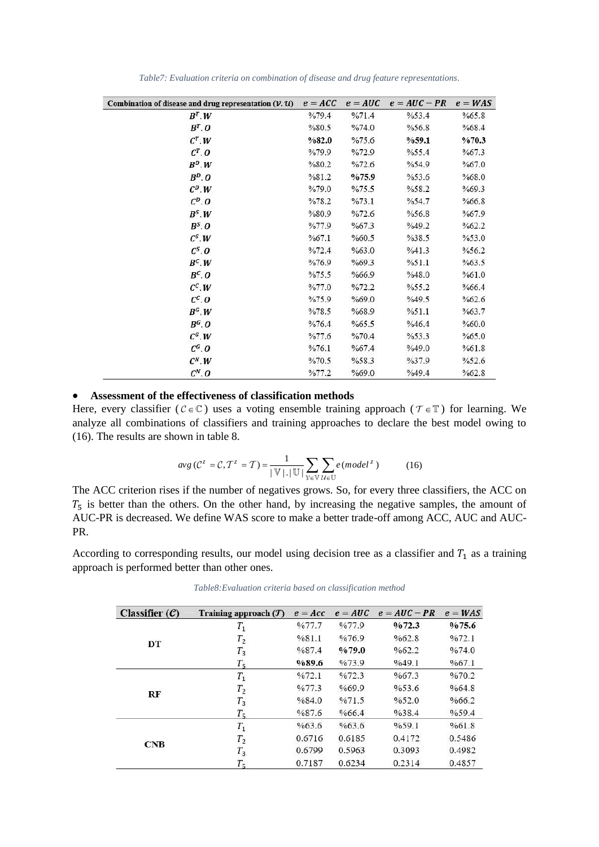| Combination of disease and drug representation $(\mathcal{V}, \mathcal{U})$ | $e = ACC$ | $e = AUC$ | $e = AUC - PR$    | $e = WAS$ |
|-----------------------------------------------------------------------------|-----------|-----------|-------------------|-----------|
| $B^T.W$                                                                     | %79.4     | %71.4     | %53.4             | %65.8     |
| $B^T. O$                                                                    | %80.5     | %74.0     | %56.8             | %68.4     |
| $C^T.W$                                                                     | %82.0     | %75.6     | %59.1             | %70.3     |
| $C^T$ . O                                                                   | %79.9     | %72.9     | %55.4             | %67.3     |
| $B^D.W$                                                                     | %80.2     | %72.6     | %54.9             | %67.0     |
| $B^D. O$                                                                    | %81.2     | %75.9     | %53.6             | %68.0     |
| $C^D.W$                                                                     | %79.0     | %75.5     | %58.2             | %69.3     |
| $C^D$ . O                                                                   | %78.2     | %73.1     | %54.7             | %66.8     |
| $B^S.W$                                                                     | %80.9     | %72.6     | %56.8             | %67.9     |
| $B^S$ . O                                                                   | %77.9     | %67.3     | %49.2             | %62.2     |
| $C^S.W$                                                                     | %67.1     | %60.5     | %38.5             | %53.0     |
| $C^S$ . $\boldsymbol{O}$                                                    | %72.4     | %63.0     | %41.3             | %56.2     |
| $B^c.W$                                                                     | %76.9     | %69.3     | %51.1             | %63.5     |
| $B^c$ . O                                                                   | %75.5     | %66.9     | %48.0             | %61.0     |
| $C^C.W$                                                                     | %77.0     | %72.2     | %55.2             | %66.4     |
| $C^c$ . O                                                                   | %75.9     | %69.0     | %49.5             | %62.6     |
| $B^G.W$                                                                     | %78.5     | %68.9     | %51.1             | %63.7     |
| $B^G$ . O                                                                   | %76.4     | %65.5     | %46.4             | %60.0     |
| $C^G.W$                                                                     | %77.6     | %70.4     | %53.3             | %65.0     |
| $C^G$ . O                                                                   | %76.1     | %67.4     | %49.0             | %61.8     |
| $C^N.W$                                                                     | %70.5     | %58.3     | $\frac{9}{637.9}$ | %52.6     |
| $C^N$ . O                                                                   | %77.2     | %69.0     | %49.4             | %62.8     |

*Table7: Evaluation criteria on combination of disease and drug feature representations.*

#### • **Assessment of the effectiveness of classification methods**

Here, every classifier ( $C \in \mathbb{C}$ ) uses a voting ensemble training approach ( $\mathcal{T} \in \mathbb{T}$ ) for learning. We analyze all combinations of classifiers and training approaches to declare the best model owing to (16). The results are shown in table 8.

$$
avg\left(\mathcal{C}^{z} = \mathcal{C}, \mathcal{T}^{z} = \mathcal{T}\right) = \frac{1}{|\mathbb{V}| \cdot |\mathbb{U}|} \sum_{\mathcal{V} \in \mathbb{V}} \sum_{\mathcal{U} \in \mathbb{U}} e \left(model^{z}\right) \tag{16}
$$

The ACC criterion rises if the number of negatives grows. So, for every three classifiers, the ACC on  $T<sub>5</sub>$  is better than the others. On the other hand, by increasing the negative samples, the amount of AUC-PR is decreased. We define WAS score to make a better trade-off among ACC, AUC and AUC-PR.

According to corresponding results, our model using decision tree as a classifier and  $T_1$  as a training approach is performed better than other ones.

| Classifier $(C)$ | Training approach $(T)$ | $e = Acc$ | $e = AUC$ | $e = AUC - PR$ | $e = WAS$ |
|------------------|-------------------------|-----------|-----------|----------------|-----------|
|                  | $T_{1}$                 | %77.7     | %77.9     | 9/072.3        | 9/075.6   |
|                  | $T_{2}$                 | %81.1     | %76.9     | %62.8          | %72.1     |
| DT               | $T_3$                   | %87.4     | %79.0     | %62.2          | %74.0     |
|                  | $T_{\rm S}$             | %89.6     | %73.9     | %49.1          | %67.1     |
| RF               | $T_1$                   | %72.1     | %72.3     | %67.3          | %70.2     |
|                  | $T_{2}$                 | %77.3     | %69.9     | %53.6          | %64.8     |
|                  | $T_3$                   | %84.0     | %71.5     | %52.0          | %66.2     |
|                  | $T_{5}$                 | %87.6     | %66.4     | %38.4          | %59.4     |
| <b>CNB</b>       | $T_1$                   | %63.6     | %63.6     | %59.1          | %61.8     |
|                  | $T_{2}$                 | 0.6716    | 0.6185    | 0.4172         | 0.5486    |
|                  | $T_3$                   | 0.6799    | 0.5963    | 0.3093         | 0.4982    |
|                  | $T_{5}$                 | 0.7187    | 0.6234    | 0.2314         | 0.4857    |

*Table8:Evaluation criteria based on classification method*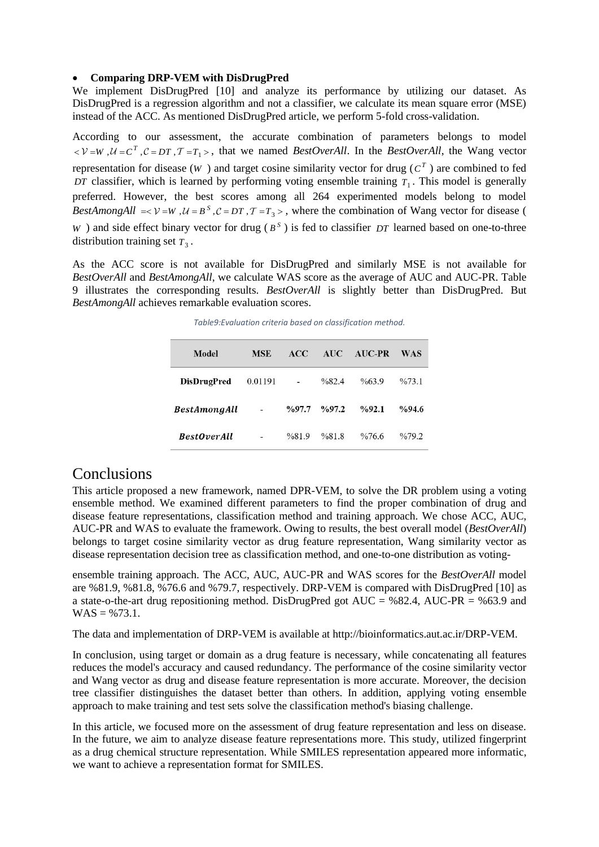#### • **Comparing DRP-VEM with DisDrugPred**

We implement DisDrugPred [10] and analyze its performance by utilizing our dataset. As DisDrugPred is a regression algorithm and not a classifier, we calculate its mean square error (MSE) instead of the ACC. As mentioned DisDrugPred article, we perform 5-fold cross-validation.

According to our assessment, the accurate combination of parameters belongs to model  $\langle V = W, U = C^T, C = DT, T = T_1 \rangle$ , that we named *BestOverAll*. In the *BestOverAll*, the Wang vector representation for disease  $(W)$  and target cosine similarity vector for drug  $(C<sup>T</sup>)$  are combined to fed *DT* classifier, which is learned by performing voting ensemble training  $T_1$ . This model is generally preferred. However, the best scores among all 264 experimented models belong to model *BestAmongAll* =  $\vee$  = W,  $\mathcal{U} = B^S$ ,  $\mathcal{C} = DT$ ,  $\mathcal{T} = T_3$ , where the combination of Wang vector for disease ( *W*) and side effect binary vector for drug ( $B^S$ ) is fed to classifier *DT* learned based on one-to-three distribution training set  $T_3$ .

As the ACC score is not available for DisDrugPred and similarly MSE is not available for *BestOverAll* and *BestAmongAll*, we calculate WAS score as the average of AUC and AUC-PR. Table 9 illustrates the corresponding results. *BestOverAll* is slightly better than DisDrugPred. But *BestAmongAll* achieves remarkable evaluation scores.

| Model               | <b>MSE</b> | ACC               | <b>AUC</b>        | <b>AUC-PR</b>         | <b>WAS</b>         |
|---------------------|------------|-------------------|-------------------|-----------------------|--------------------|
| <b>DisDrugPred</b>  | 0.01191    | -                 | %82.4             | $\frac{663.9}{663.9}$ | $\frac{9}{6}$ 73.1 |
| <b>BestAmongAll</b> | ÷          | $\frac{9}{97.7}$  | $\frac{9}{6}97.2$ | %92.1                 | $\%94.6$           |
| <b>BestOverAll</b>  |            | $\frac{9}{681.9}$ | %81.8             | $\%76.6$              | $\frac{9}{679.2}$  |

### **Conclusions**

This article proposed a new framework, named DPR-VEM, to solve the DR problem using a voting ensemble method. We examined different parameters to find the proper combination of drug and disease feature representations, classification method and training approach. We chose ACC, AUC, AUC-PR and WAS to evaluate the framework. Owing to results, the best overall model (*BestOverAll*) belongs to target cosine similarity vector as drug feature representation, Wang similarity vector as disease representation decision tree as classification method, and one-to-one distribution as voting-

ensemble training approach. The ACC, AUC, AUC-PR and WAS scores for the *BestOverAll* model are %81.9, %81.8, %76.6 and %79.7, respectively. DRP-VEM is compared with DisDrugPred [10] as a state-o-the-art drug repositioning method. DisDrugPred got AUC =  $\%$ 82.4, AUC-PR =  $\%$ 63.9 and  $WAS = %73.1.$ 

The data and implementation of DRP-VEM is available at http://bioinformatics.aut.ac.ir/DRP-VEM.

In conclusion, using target or domain as a drug feature is necessary, while concatenating all features reduces the model's accuracy and caused redundancy. The performance of the cosine similarity vector and Wang vector as drug and disease feature representation is more accurate. Moreover, the decision tree classifier distinguishes the dataset better than others. In addition, applying voting ensemble approach to make training and test sets solve the classification method's biasing challenge.

In this article, we focused more on the assessment of drug feature representation and less on disease. In the future, we aim to analyze disease feature representations more. This study, utilized fingerprint as a drug chemical structure representation. While SMILES representation appeared more informatic, we want to achieve a representation format for SMILES.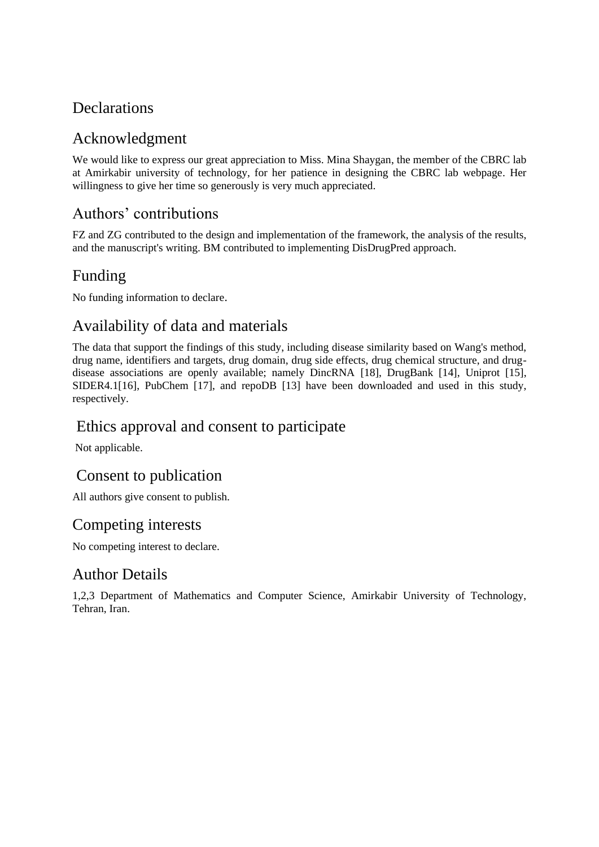## **Declarations**

## Acknowledgment

We would like to express our great appreciation to Miss. Mina Shaygan, the member of the CBRC lab at Amirkabir university of technology, for her patience in designing the CBRC lab webpage. Her willingness to give her time so generously is very much appreciated.

## Authors' contributions

FZ and ZG contributed to the design and implementation of the framework, the analysis of the results, and the manuscript's writing. BM contributed to implementing DisDrugPred approach.

## Funding

No funding information to declare.

## Availability of data and materials

The data that support the findings of this study, including disease similarity based on Wang's method, drug name, identifiers and targets, drug domain, drug side effects, drug chemical structure, and drugdisease associations are openly available; namely DincRNA [18], DrugBank [14], Uniprot [15], SIDER4.1[16], PubChem [17], and repoDB [13] have been downloaded and used in this study, respectively.

### Ethics approval and consent to participate

Not applicable.

## Consent to publication

All authors give consent to publish.

## Competing interests

No competing interest to declare.

## Author Details

1,2,3 Department of Mathematics and Computer Science, Amirkabir University of Technology, Tehran, Iran.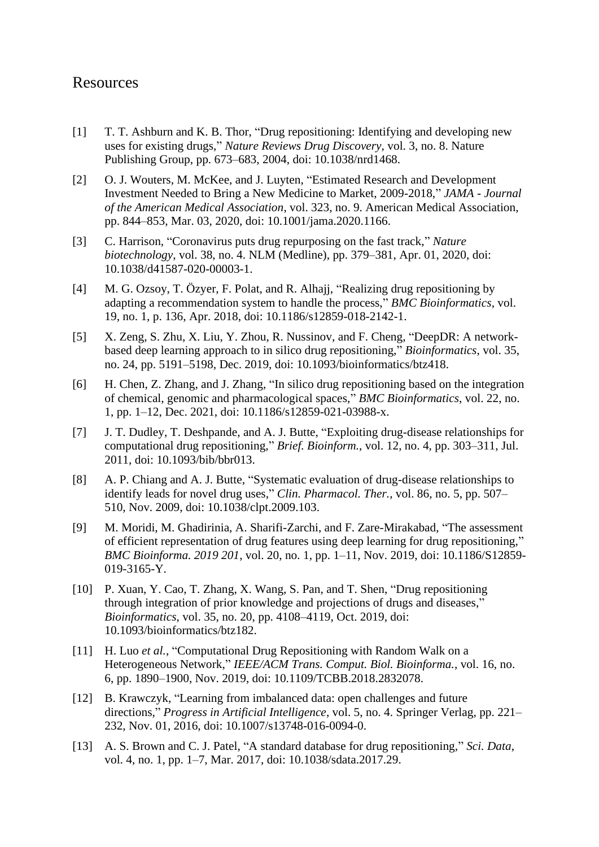### Resources

- [1] T. T. Ashburn and K. B. Thor, "Drug repositioning: Identifying and developing new uses for existing drugs," *Nature Reviews Drug Discovery*, vol. 3, no. 8. Nature Publishing Group, pp. 673–683, 2004, doi: 10.1038/nrd1468.
- [2] O. J. Wouters, M. McKee, and J. Luyten, "Estimated Research and Development Investment Needed to Bring a New Medicine to Market, 2009-2018," *JAMA - Journal of the American Medical Association*, vol. 323, no. 9. American Medical Association, pp. 844–853, Mar. 03, 2020, doi: 10.1001/jama.2020.1166.
- [3] C. Harrison, "Coronavirus puts drug repurposing on the fast track," *Nature biotechnology*, vol. 38, no. 4. NLM (Medline), pp. 379–381, Apr. 01, 2020, doi: 10.1038/d41587-020-00003-1.
- [4] M. G. Ozsoy, T. Özyer, F. Polat, and R. Alhajj, "Realizing drug repositioning by adapting a recommendation system to handle the process," *BMC Bioinformatics*, vol. 19, no. 1, p. 136, Apr. 2018, doi: 10.1186/s12859-018-2142-1.
- [5] X. Zeng, S. Zhu, X. Liu, Y. Zhou, R. Nussinov, and F. Cheng, "DeepDR: A networkbased deep learning approach to in silico drug repositioning," *Bioinformatics*, vol. 35, no. 24, pp. 5191–5198, Dec. 2019, doi: 10.1093/bioinformatics/btz418.
- [6] H. Chen, Z. Zhang, and J. Zhang, "In silico drug repositioning based on the integration of chemical, genomic and pharmacological spaces," *BMC Bioinformatics*, vol. 22, no. 1, pp. 1–12, Dec. 2021, doi: 10.1186/s12859-021-03988-x.
- [7] J. T. Dudley, T. Deshpande, and A. J. Butte, "Exploiting drug-disease relationships for computational drug repositioning," *Brief. Bioinform.*, vol. 12, no. 4, pp. 303–311, Jul. 2011, doi: 10.1093/bib/bbr013.
- [8] A. P. Chiang and A. J. Butte, "Systematic evaluation of drug-disease relationships to identify leads for novel drug uses," *Clin. Pharmacol. Ther.*, vol. 86, no. 5, pp. 507– 510, Nov. 2009, doi: 10.1038/clpt.2009.103.
- [9] M. Moridi, M. Ghadirinia, A. Sharifi-Zarchi, and F. Zare-Mirakabad, "The assessment of efficient representation of drug features using deep learning for drug repositioning," *BMC Bioinforma. 2019 201*, vol. 20, no. 1, pp. 1–11, Nov. 2019, doi: 10.1186/S12859- 019-3165-Y.
- [10] P. Xuan, Y. Cao, T. Zhang, X. Wang, S. Pan, and T. Shen, "Drug repositioning through integration of prior knowledge and projections of drugs and diseases," *Bioinformatics*, vol. 35, no. 20, pp. 4108–4119, Oct. 2019, doi: 10.1093/bioinformatics/btz182.
- [11] H. Luo *et al.*, "Computational Drug Repositioning with Random Walk on a Heterogeneous Network," *IEEE/ACM Trans. Comput. Biol. Bioinforma.*, vol. 16, no. 6, pp. 1890–1900, Nov. 2019, doi: 10.1109/TCBB.2018.2832078.
- [12] B. Krawczyk, "Learning from imbalanced data: open challenges and future directions," *Progress in Artificial Intelligence*, vol. 5, no. 4. Springer Verlag, pp. 221– 232, Nov. 01, 2016, doi: 10.1007/s13748-016-0094-0.
- [13] A. S. Brown and C. J. Patel, "A standard database for drug repositioning," *Sci. Data*, vol. 4, no. 1, pp. 1–7, Mar. 2017, doi: 10.1038/sdata.2017.29.